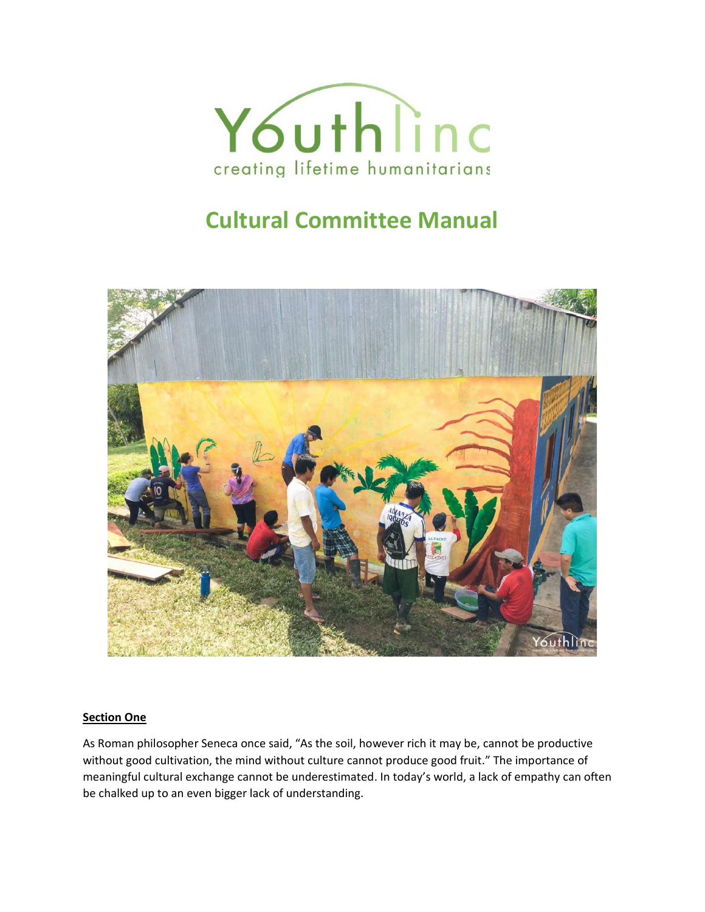

# **Cultural Committee Manual**



#### **Section One**

As Roman philosopher Seneca once said, "As the soil, however rich it may be, cannot be productive without good cultivation, the mind without culture cannot produce good fruit." The importance of meaningful cultural exchange cannot be underestimated. In today's world, a lack of empathy can often be chalked up to an even bigger lack of understanding.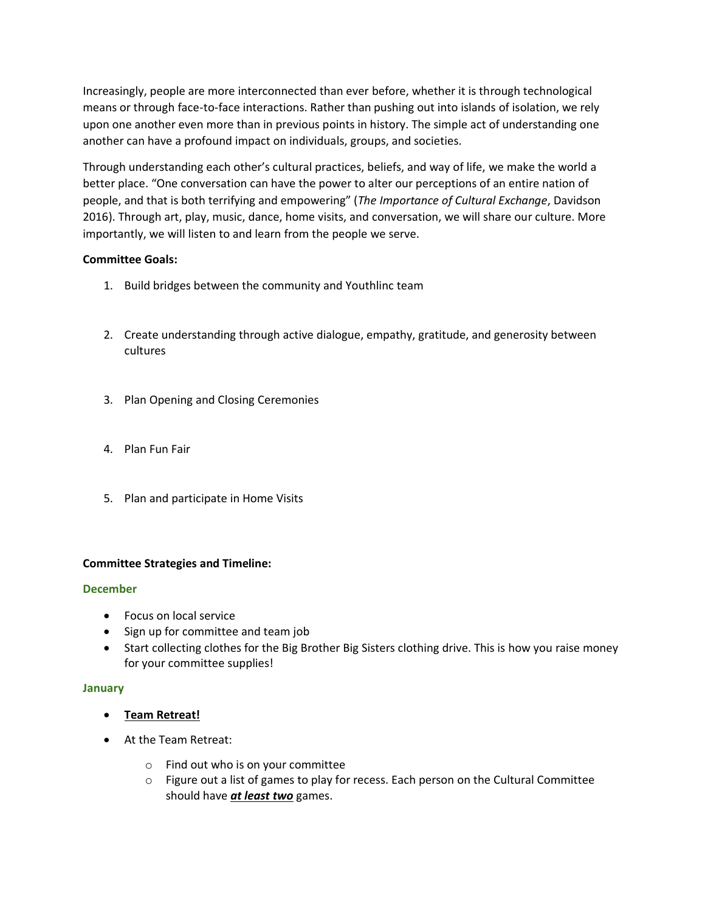Increasingly, people are more interconnected than ever before, whether it is through technological means or through face-to-face interactions. Rather than pushing out into islands of isolation, we rely upon one another even more than in previous points in history. The simple act of understanding one another can have a profound impact on individuals, groups, and societies.

Through understanding each other's cultural practices, beliefs, and way of life, we make the world a better place. "One conversation can have the power to alter our perceptions of an entire nation of people, and that is both terrifying and empowering" (*The Importance of Cultural Exchange*, Davidson 2016). Through art, play, music, dance, home visits, and conversation, we will share our culture. More importantly, we will listen to and learn from the people we serve.

## **Committee Goals:**

- 1. Build bridges between the community and Youthlinc team
- 2. Create understanding through active dialogue, empathy, gratitude, and generosity between cultures
- 3. Plan Opening and Closing Ceremonies
- 4. Plan Fun Fair
- 5. Plan and participate in Home Visits

## **Committee Strategies and Timeline:**

#### **December**

- Focus on local service
- Sign up for committee and team job
- Start collecting clothes for the Big Brother Big Sisters clothing drive. This is how you raise money for your committee supplies!

#### **January**

- **Team Retreat!**
- At the Team Retreat:
	- o Find out who is on your committee
	- $\circ$  Figure out a list of games to play for recess. Each person on the Cultural Committee should have *at least two* games.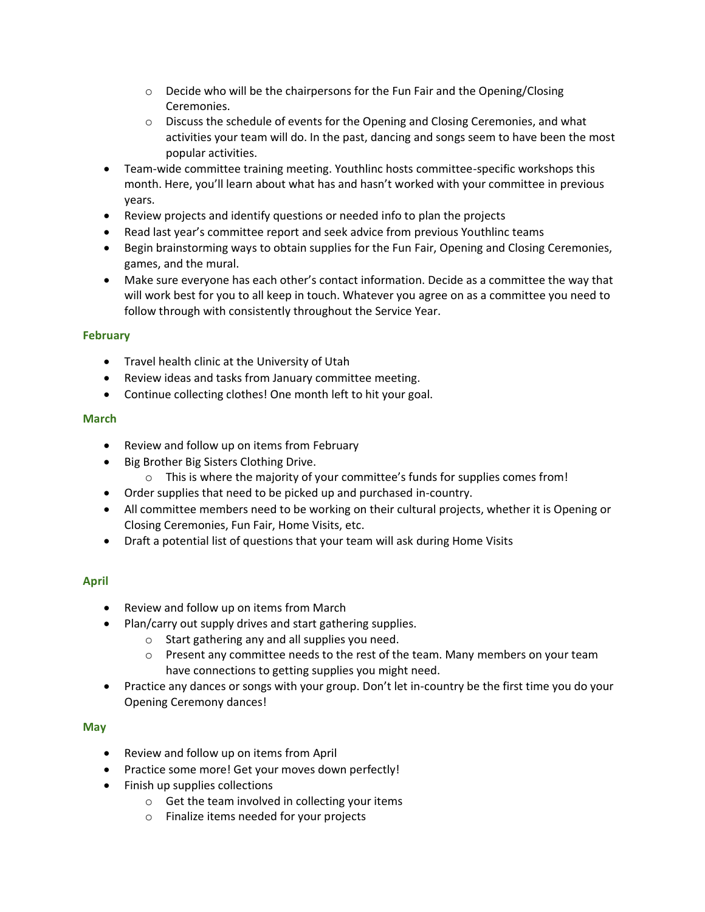- $\circ$  Decide who will be the chairpersons for the Fun Fair and the Opening/Closing Ceremonies.
- $\circ$  Discuss the schedule of events for the Opening and Closing Ceremonies, and what activities your team will do. In the past, dancing and songs seem to have been the most popular activities.
- Team-wide committee training meeting. Youthlinc hosts committee-specific workshops this month. Here, you'll learn about what has and hasn't worked with your committee in previous years.
- Review projects and identify questions or needed info to plan the projects
- Read last year's committee report and seek advice from previous Youthlinc teams
- Begin brainstorming ways to obtain supplies for the Fun Fair, Opening and Closing Ceremonies, games, and the mural.
- Make sure everyone has each other's contact information. Decide as a committee the way that will work best for you to all keep in touch. Whatever you agree on as a committee you need to follow through with consistently throughout the Service Year.

## **February**

- Travel health clinic at the University of Utah
- Review ideas and tasks from January committee meeting.
- Continue collecting clothes! One month left to hit your goal.

#### **March**

- Review and follow up on items from February
- Big Brother Big Sisters Clothing Drive.
	- $\circ$  This is where the majority of your committee's funds for supplies comes from!
- Order supplies that need to be picked up and purchased in-country.
- All committee members need to be working on their cultural projects, whether it is Opening or Closing Ceremonies, Fun Fair, Home Visits, etc.
- Draft a potential list of questions that your team will ask during Home Visits

## **April**

- Review and follow up on items from March
- Plan/carry out supply drives and start gathering supplies.
	- o Start gathering any and all supplies you need.
	- $\circ$  Present any committee needs to the rest of the team. Many members on your team have connections to getting supplies you might need.
- Practice any dances or songs with your group. Don't let in-country be the first time you do your Opening Ceremony dances!

#### **May**

- Review and follow up on items from April
- Practice some more! Get your moves down perfectly!
- Finish up supplies collections
	- o Get the team involved in collecting your items
	- o Finalize items needed for your projects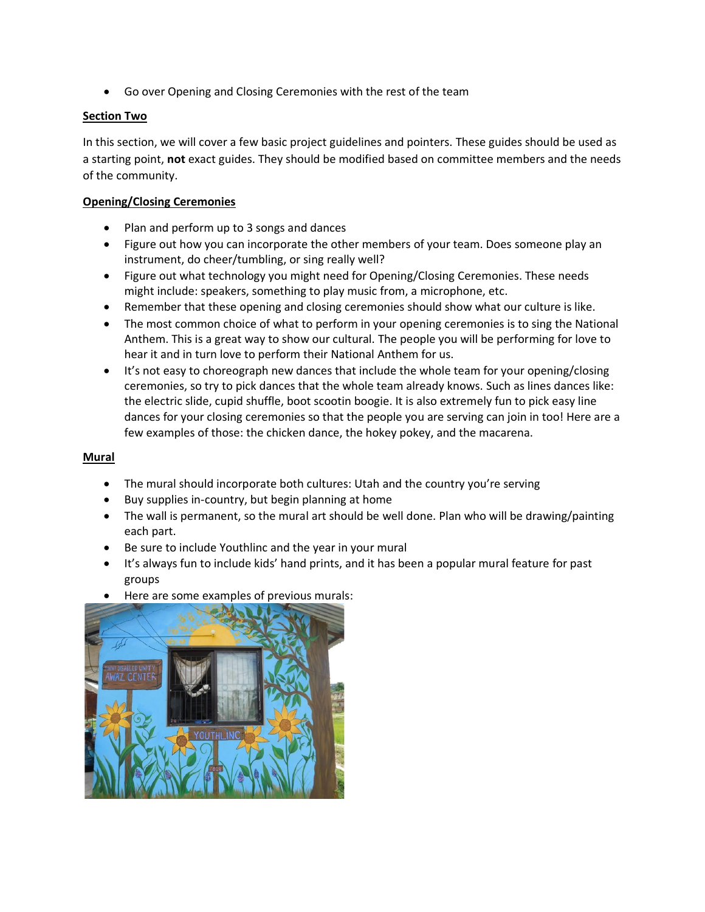• Go over Opening and Closing Ceremonies with the rest of the team

## **Section Two**

In this section, we will cover a few basic project guidelines and pointers. These guides should be used as a starting point, **not** exact guides. They should be modified based on committee members and the needs of the community.

## **Opening/Closing Ceremonies**

- Plan and perform up to 3 songs and dances
- Figure out how you can incorporate the other members of your team. Does someone play an instrument, do cheer/tumbling, or sing really well?
- Figure out what technology you might need for Opening/Closing Ceremonies. These needs might include: speakers, something to play music from, a microphone, etc.
- Remember that these opening and closing ceremonies should show what our culture is like.
- The most common choice of what to perform in your opening ceremonies is to sing the National Anthem. This is a great way to show our cultural. The people you will be performing for love to hear it and in turn love to perform their National Anthem for us.
- It's not easy to choreograph new dances that include the whole team for your opening/closing ceremonies, so try to pick dances that the whole team already knows. Such as lines dances like: the electric slide, cupid shuffle, boot scootin boogie. It is also extremely fun to pick easy line dances for your closing ceremonies so that the people you are serving can join in too! Here are a few examples of those: the chicken dance, the hokey pokey, and the macarena.

### **Mural**

- The mural should incorporate both cultures: Utah and the country you're serving
- Buy supplies in-country, but begin planning at home
- The wall is permanent, so the mural art should be well done. Plan who will be drawing/painting each part.
- Be sure to include Youthlinc and the year in your mural
- It's always fun to include kids' hand prints, and it has been a popular mural feature for past groups
- Here are some examples of previous murals:

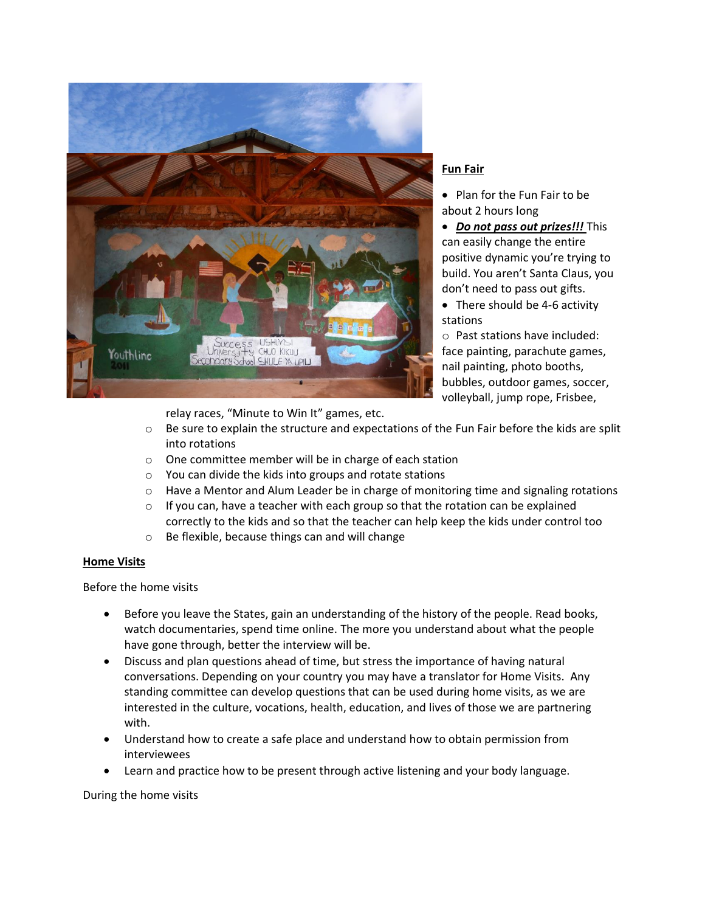

## **Fun Fair**

• Plan for the Fun Fair to be about 2 hours long

• *Do not pass out prizes!!!* This can easily change the entire positive dynamic you're trying to build. You aren't Santa Claus, you don't need to pass out gifts.

• There should be 4-6 activity stations

o Past stations have included: face painting, parachute games, nail painting, photo booths, bubbles, outdoor games, soccer, volleyball, jump rope, Frisbee,

relay races, "Minute to Win It" games, etc.

- o Be sure to explain the structure and expectations of the Fun Fair before the kids are split into rotations
- o One committee member will be in charge of each station
- o You can divide the kids into groups and rotate stations
- $\circ$  Have a Mentor and Alum Leader be in charge of monitoring time and signaling rotations
- $\circ$  If you can, have a teacher with each group so that the rotation can be explained correctly to the kids and so that the teacher can help keep the kids under control too
- o Be flexible, because things can and will change

#### **Home Visits**

Before the home visits

- Before you leave the States, gain an understanding of the history of the people. Read books, watch documentaries, spend time online. The more you understand about what the people have gone through, better the interview will be.
- Discuss and plan questions ahead of time, but stress the importance of having natural conversations. Depending on your country you may have a translator for Home Visits. Any standing committee can develop questions that can be used during home visits, as we are interested in the culture, vocations, health, education, and lives of those we are partnering with.
- Understand how to create a safe place and understand how to obtain permission from interviewees
- Learn and practice how to be present through active listening and your body language.

#### During the home visits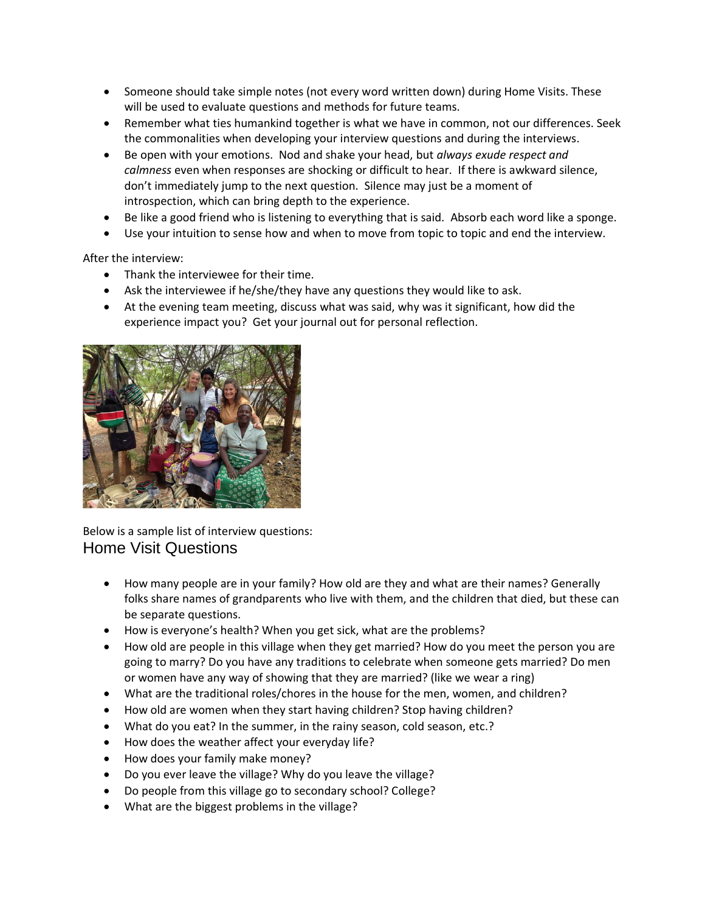- Someone should take simple notes (not every word written down) during Home Visits. These will be used to evaluate questions and methods for future teams.
- Remember what ties humankind together is what we have in common, not our differences. Seek the commonalities when developing your interview questions and during the interviews.
- Be open with your emotions. Nod and shake your head, but *always exude respect and calmness* even when responses are shocking or difficult to hear. If there is awkward silence, don't immediately jump to the next question. Silence may just be a moment of introspection, which can bring depth to the experience.
- Be like a good friend who is listening to everything that is said. Absorb each word like a sponge.
- Use your intuition to sense how and when to move from topic to topic and end the interview.

After the interview:

- Thank the interviewee for their time.
- Ask the interviewee if he/she/they have any questions they would like to ask.
- At the evening team meeting, discuss what was said, why was it significant, how did the experience impact you? Get your journal out for personal reflection.



Below is a sample list of interview questions: Home Visit Questions

- How many people are in your family? How old are they and what are their names? Generally folks share names of grandparents who live with them, and the children that died, but these can be separate questions.
- How is everyone's health? When you get sick, what are the problems?
- How old are people in this village when they get married? How do you meet the person you are going to marry? Do you have any traditions to celebrate when someone gets married? Do men or women have any way of showing that they are married? (like we wear a ring)
- What are the traditional roles/chores in the house for the men, women, and children?
- How old are women when they start having children? Stop having children?
- What do you eat? In the summer, in the rainy season, cold season, etc.?
- How does the weather affect your everyday life?
- How does your family make money?
- Do you ever leave the village? Why do you leave the village?
- Do people from this village go to secondary school? College?
- What are the biggest problems in the village?